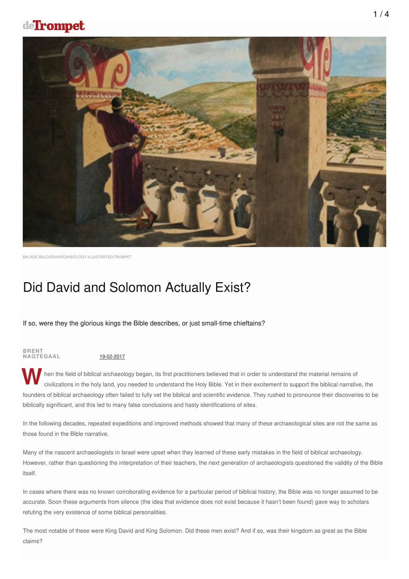## deTrompet



BALAGE BALOUGH/ARCHAEOLOGY ILLUSTRATED/TRUMPET

# Did David and Solomon Actually Exist?

If so, were they the glorious kings the Bible describes, or just small-time chieftains?

## **BRENT NAGTEGAAL** 19-02-2017

Then the field of biblical archaeology began, its first practitioners believed that in order to understand the material remains of civilizations in the holy land, you needed to understand the Holy Bible. Yet in their excit civilizations in the holy land, you needed to understand the Holy Bible. Yet in their excitement to support the biblical narrative, the founders of biblical archaeology often failed to fully vet the biblical and scientific evidence. They rushed to pronounce their discoveries to be biblically significant, and this led to many false conclusions and hasty identifications of sites.

In the following decades, repeated expeditions and improved methods showed that many of these archaeological sites are not the same as those found in the Bible narrative.

Many of the nascent archaeologists in Israel were upset when they learned of these early mistakes in the field of biblical archaeology. However, rather than questioning the interpretation of their teachers, the next generation of archaeologists questioned the validity of the Bible itself.

In cases where there was no known corroborating evidence for a particular period of biblical history, the Bible was no longer assumed to be accurate. Soon these arguments from silence (the idea that evidence does not exist because it hasn't been found) gave way to scholars refuting the very existence of some biblical personalities.

The most notable of these were King David and King Solomon. Did these men exist? And if so, was their kingdom as great as the Bible claims?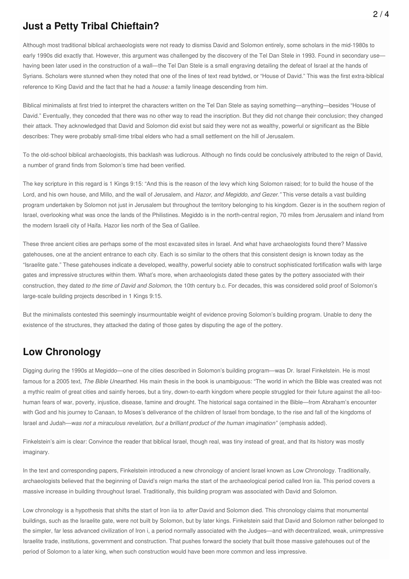#### **Just a Petty Tribal Chieftain?**

Although most traditional biblical archaeologists were not ready to dismiss David and Solomon entirely, some scholars in the mid-1980s to early 1990s did exactly that. However, this argument was challenged by the discovery of the Tel Dan Stele in 1993. Found in secondary usehaving been later used in the construction of a wall—the Tel Dan Stele is a small engraving detailing the defeat of Israel at the hands of Syrians. Scholars were stunned when they noted that one of the lines of text read bytdwd, or "House of David." This was the first extra-biblical reference to King David and the fact that he had a *house:* a family lineage descending from him.

Biblical minimalists at first tried to interpret the characters written on the Tel Dan Stele as saying something—anything—besides "House of David." Eventually, they conceded that there was no other way to read the inscription. But they did not change their conclusion; they changed their attack. They acknowledged that David and Solomon did exist but said they were not as wealthy, powerful or significant as the Bible describes: They were probably small-time tribal elders who had a small settlement on the hill of Jerusalem.

To the old-school biblical archaeologists, this backlash was ludicrous. Although no finds could be conclusively attributed to the reign of David, a number of grand finds from Solomon's time had been verified.

The key scripture in this regard is 1 Kings 9:15: "And this is the reason of the levy which king Solomon raised; for to build the house of the Lord, and his own house, and Millo, and the wall of Jerusalem, and *Hazor, and Megiddo, and Gezer."* This verse details a vast building program undertaken by Solomon not just in Jerusalem but throughout the territory belonging to his kingdom. Gezer is in the southern region of Israel, overlooking what was once the lands of the Philistines. Megiddo is in the north-central region, 70 miles from Jerusalem and inland from the modern Israeli city of Haifa. Hazor lies north of the Sea of Galilee.

These three ancient cities are perhaps some of the most excavated sites in Israel. And what have archaeologists found there? Massive gatehouses, one at the ancient entrance to each city. Each is so similar to the others that this consistent design is known today as the "Israelite gate." These gatehouses indicate a developed, wealthy, powerful society able to construct sophisticated fortification walls with large gates and impressive structures within them. What's more, when archaeologists dated these gates by the pottery associated with their construction, they dated *to the time of David and Solomon,* the 10th century b.c. For decades, this was considered solid proof of Solomon's large-scale building projects described in 1 Kings 9:15.

But the minimalists contested this seemingly insurmountable weight of evidence proving Solomon's building program. Unable to deny the existence of the structures, they attacked the dating of those gates by disputing the age of the pottery.

#### **Low Chronology**

Digging during the 1990s at Megiddo—one of the cities described in Solomon's building program—was Dr. Israel Finkelstein. He is most famous for a 2005 text, *The Bible Unearthed.* His main thesis in the book is unambiguous: "The world in which the Bible was created was not a mythic realm of great cities and saintly heroes, but a tiny, down-to-earth kingdom where people struggled for their future against the all-toohuman fears of war, poverty, injustice, disease, famine and drought. The historical saga contained in the Bible—from Abraham's encounter with God and his journey to Canaan, to Moses's deliverance of the children of Israel from bondage, to the rise and fall of the kingdoms of Israel and Judah—*was not a miraculous revelation, but a brilliant product of the human imagination"* (emphasis added).

Finkelstein's aim is clear: Convince the reader that biblical Israel, though real, was tiny instead of great, and that its history was mostly imaginary.

In the text and corresponding papers, Finkelstein introduced a new chronology of ancient Israel known as Low Chronology. Traditionally, archaeologists believed that the beginning of David's reign marks the start of the archaeological period called Iron iia. This period covers a massive increase in building throughout Israel. Traditionally, this building program was associated with David and Solomon.

Low chronology is a hypothesis that shifts the start of Iron iia to *after* David and Solomon died. This chronology claims that monumental buildings, such as the Israelite gate, were not built by Solomon, but by later kings. Finkelstein said that David and Solomon rather belonged to the simpler, far less advanced civilization of Iron i, a period normally associated with the Judges—and with decentralized, weak, unimpressive Israelite trade, institutions, government and construction. That pushes forward the society that built those massive gatehouses out of the period of Solomon to a later king, when such construction would have been more common and less impressive.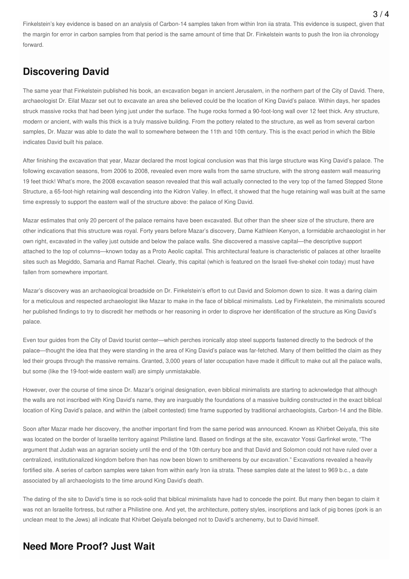Finkelstein's key evidence is based on an analysis of Carbon-14 samples taken from within Iron iia strata. This evidence is suspect, given that the margin for error in carbon samples from that period is the same amount of time that Dr. Finkelstein wants to push the Iron iia chronology forward.

#### **Discovering David**

The same year that Finkelstein published his book, an excavation began in ancient Jerusalem, in the northern part of the City of David. There, archaeologist Dr. Eilat Mazar set out to excavate an area she believed could be the location of King David's palace. Within days, her spades struck massive rocks that had been lying just under the surface. The huge rocks formed a 90-foot-long wall over 12 feet thick. Any structure, modern or ancient, with walls this thick is a truly massive building. From the pottery related to the structure, as well as from several carbon samples, Dr. Mazar was able to date the wall to somewhere between the 11th and 10th century. This is the exact period in which the Bible indicates David built his palace.

After finishing the excavation that year, Mazar declared the most logical conclusion was that this large structure was King David's palace. The following excavation seasons, from 2006 to 2008, revealed even more walls from the same structure, with the strong eastern wall measuring 19 feet thick! What's more, the 2008 excavation season revealed that this wall actually connected to the very top of the famed Stepped Stone Structure, a 65-foot-high retaining wall descending into the Kidron Valley. In effect, it showed that the huge retaining wall was built at the same time expressly to support the eastern wall of the structure above: the palace of King David.

Mazar estimates that only 20 percent of the palace remains have been excavated. But other than the sheer size of the structure, there are other indications that this structure was royal. Forty years before Mazar's discovery, Dame Kathleen Kenyon, a formidable archaeologist in her own right, excavated in the valley just outside and below the palace walls. She discovered a massive capital—the descriptive support attached to the top of columns—known today as a Proto Aeolic capital. This architectural feature is characteristic of palaces at other Israelite sites such as Megiddo, Samaria and Ramat Rachel. Clearly, this capital (which is featured on the Israeli five-shekel coin today) must have fallen from somewhere important.

Mazar's discovery was an archaeological broadside on Dr. Finkelstein's effort to cut David and Solomon down to size. It was a daring claim for a meticulous and respected archaeologist like Mazar to make in the face of biblical minimalists. Led by Finkelstein, the minimalists scoured her published findings to try to discredit her methods or her reasoning in order to disprove her identification of the structure as King David's palace.

Even tour guides from the City of David tourist center—which perches ironically atop steel supports fastened directly to the bedrock of the palace—thought the idea that they were standing in the area of King David's palace was far-fetched. Many of them belittled the claim as they led their groups through the massive remains. Granted, 3,000 years of later occupation have made it difficult to make out all the palace walls, but some (like the 19-foot-wide eastern wall) are simply unmistakable.

However, over the course of time since Dr. Mazar's original designation, even biblical minimalists are starting to acknowledge that although the walls are not inscribed with King David's name, they are inarguably the foundations of a massive building constructed in the exact biblical location of King David's palace, and within the (albeit contested) time frame supported by traditional archaeologists, Carbon-14 and the Bible.

Soon after Mazar made her discovery, the another important find from the same period was announced. Known as Khirbet Qeiyafa, this site was located on the border of Israelite territory against Philistine land. Based on findings at the site, excavator Yossi Garfinkel wrote, "The argument that Judah was an agrarian society until the end of the 10th century bce and that David and Solomon could not have ruled over a centralized, institutionalized kingdom before then has now been blown to smithereens by our excavation." Excavations revealed a heavily fortified site. A series of carbon samples were taken from within early Iron iia strata. These samples date at the latest to 969 b.c., a date associated by all archaeologists to the time around King David's death.

The dating of the site to David's time is so rock-solid that biblical minimalists have had to concede the point. But many then began to claim it was not an Israelite fortress, but rather a Philistine one. And yet, the architecture, pottery styles, inscriptions and lack of pig bones (pork is an unclean meat to the Jews) all indicate that Khirbet Qeiyafa belonged not to David's archenemy, but to David himself.

### **Need More Proof? Just Wait**